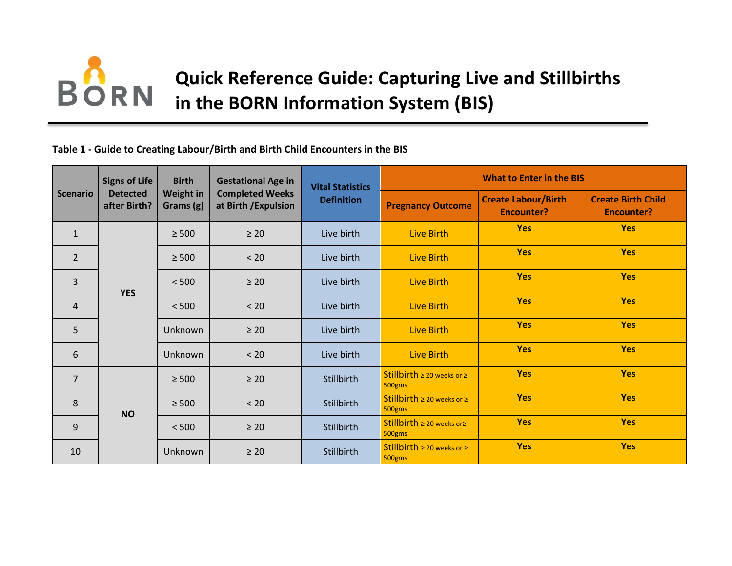# **BORN Quick Reference Guide: Capturing Live and Stillbirths in the BORN Information System (BIS)**

#### **Table 1 - Guide to Creating Labour/Birth and Birth Child Encounters in the BIS**

| <b>Scenario</b> | <b>Signs of Life</b><br><b>Detected</b><br>after Birth? | <b>Birth</b><br><b>Weight in</b><br>Grams (g) | <b>Gestational Age in</b><br><b>Completed Weeks</b><br>at Birth / Expulsion | <b>Vital Statistics</b><br><b>Definition</b> | <b>What to Enter in the BIS</b>                |                                                 |                                                |
|-----------------|---------------------------------------------------------|-----------------------------------------------|-----------------------------------------------------------------------------|----------------------------------------------|------------------------------------------------|-------------------------------------------------|------------------------------------------------|
|                 |                                                         |                                               |                                                                             |                                              | <b>Pregnancy Outcome</b>                       | <b>Create Labour/Birth</b><br><b>Encounter?</b> | <b>Create Birth Child</b><br><b>Encounter?</b> |
| $\mathbf{1}$    | <b>YES</b>                                              | $\geq 500$                                    | $\geq 20$                                                                   | Live birth                                   | <b>Live Birth</b>                              | <b>Yes</b>                                      | <b>Yes</b>                                     |
| $\overline{2}$  |                                                         | $\geq 500$                                    | < 20                                                                        | Live birth                                   | Live Birth                                     | <b>Yes</b>                                      | <b>Yes</b>                                     |
| $\overline{3}$  |                                                         | < 500                                         | $\geq 20$                                                                   | Live birth                                   | Live Birth                                     | <b>Yes</b>                                      | <b>Yes</b>                                     |
| $\overline{4}$  |                                                         | < 500                                         | < 20                                                                        | Live birth                                   | Live Birth                                     | <b>Yes</b>                                      | <b>Yes</b>                                     |
| 5               |                                                         | Unknown                                       | $\geq 20$                                                                   | Live birth                                   | Live Birth                                     | <b>Yes</b>                                      | <b>Yes</b>                                     |
| 6               |                                                         | Unknown                                       | < 20                                                                        | Live birth                                   | Live Birth                                     | <b>Yes</b>                                      | <b>Yes</b>                                     |
| $\overline{7}$  | <b>NO</b>                                               | $\geq 500$                                    | $\geq 20$                                                                   | Stillbirth                                   | Stillbirth $\geq 20$ weeks or $\geq$<br>500gms | <b>Yes</b>                                      | <b>Yes</b>                                     |
| 8               |                                                         | $\geq 500$                                    | < 20                                                                        | Stillbirth                                   | Stillbirth $\geq 20$ weeks or $\geq$<br>500gms | <b>Yes</b>                                      | <b>Yes</b>                                     |
| 9               |                                                         | < 500                                         | $\geq 20$                                                                   | Stillbirth                                   | Stillbirth $\geq 20$ weeks or $\geq$<br>500gms | <b>Yes</b>                                      | <b>Yes</b>                                     |
| 10              |                                                         | Unknown                                       | $\geq 20$                                                                   | Stillbirth                                   | Stillbirth $\geq 20$ weeks or $\geq$<br>500gms | <b>Yes</b>                                      | <b>Yes</b>                                     |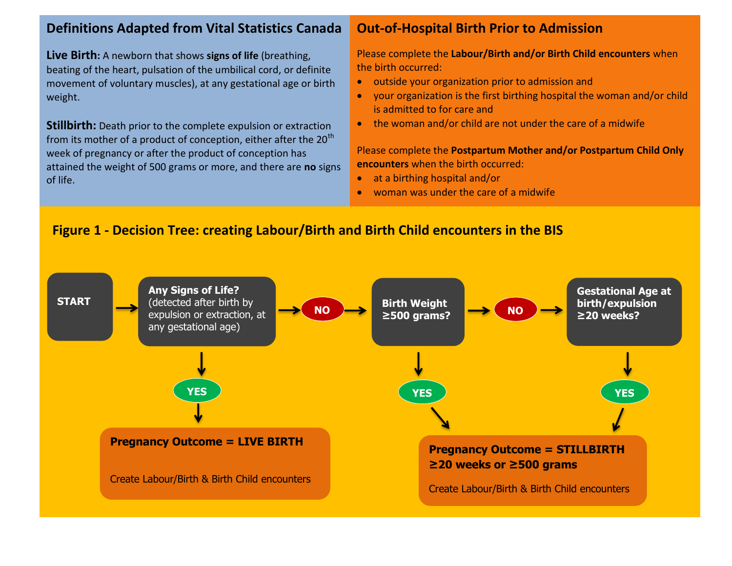# **Definitions Adapted from Vital Statistics Canada**

**Live Birth:** A newborn that shows **signs of life** (breathing, beating of the heart, pulsation of the umbilical cord, or definite movement of voluntary muscles), at any gestational age or birth weight.

**Stillbirth:** Death prior to the complete expulsion or extraction from its mother of a product of conception, either after the  $20<sup>th</sup>$ week of pregnancy or after the product of conception has attained the weight of 500 grams or more, and there are **no** signs of life.

## **Out-of-Hospital Birth Prior to Admission**

Please complete the **Labour/Birth and/or Birth Child encounters** when the birth occurred:

- outside your organization prior to admission and
- your organization is the first birthing hospital the woman and/or child is admitted to for care and
- the woman and/or child are not under the care of a midwife

Please complete the **Postpartum Mother and/or Postpartum Child Only encounters** when the birth occurred:

- at a birthing hospital and/or
- woman was under the care of a midwife

## **Figure 1 - Decision Tree: creating Labour/Birth and Birth Child encounters in the BIS**